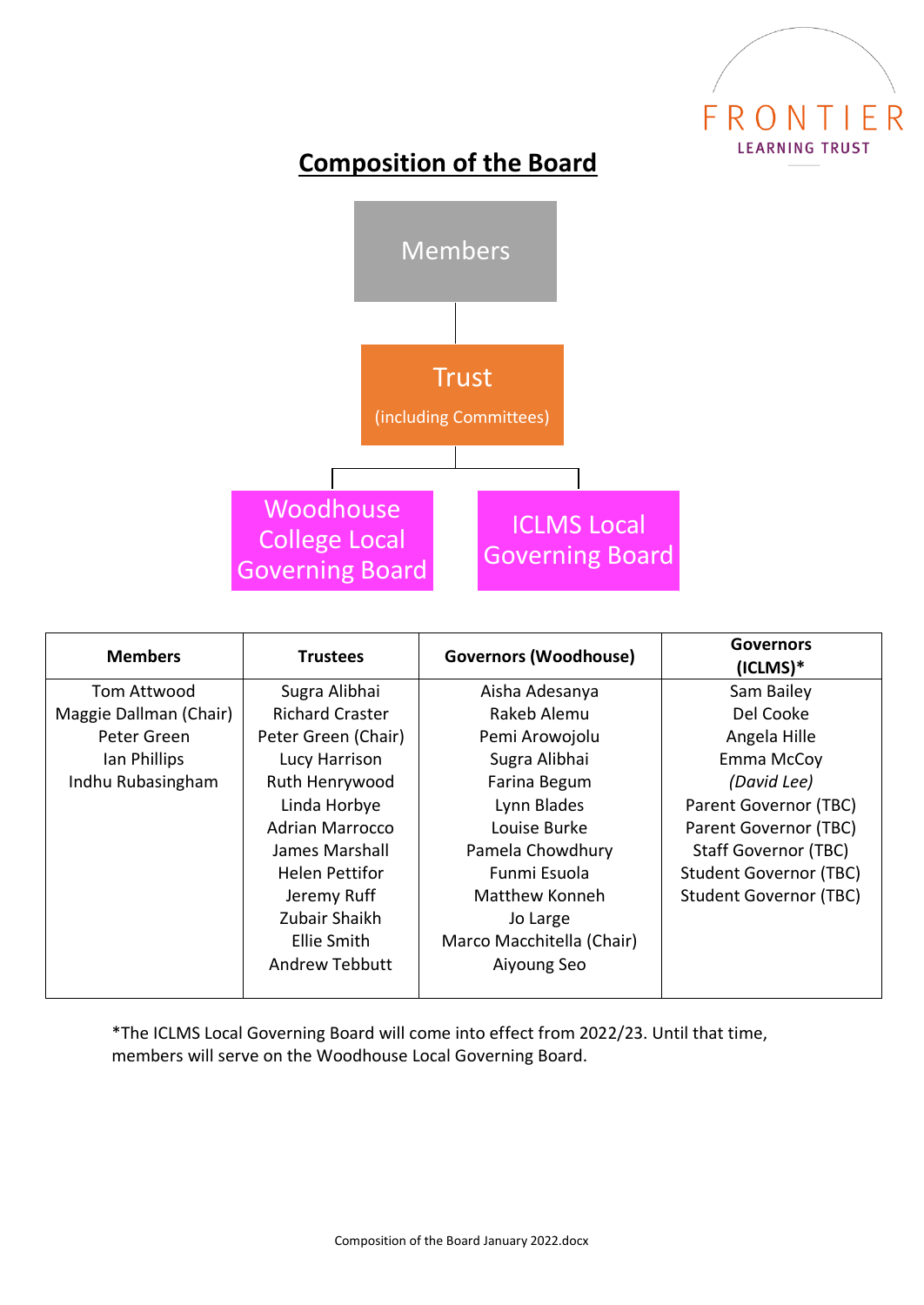

## **Composition of the Board**



| <b>Members</b>         | <b>Trustees</b>        | <b>Governors (Woodhouse)</b> | <b>Governors</b><br>$(ICLMS)*$ |
|------------------------|------------------------|------------------------------|--------------------------------|
| Tom Attwood            | Sugra Alibhai          | Aisha Adesanya               | Sam Bailey                     |
| Maggie Dallman (Chair) | <b>Richard Craster</b> | Rakeb Alemu                  | Del Cooke                      |
| Peter Green            | Peter Green (Chair)    | Pemi Arowojolu               | Angela Hille                   |
| Ian Phillips           | Lucy Harrison          | Sugra Alibhai                | Emma McCoy                     |
| Indhu Rubasingham      | Ruth Henrywood         | Farina Begum                 | (David Lee)                    |
|                        | Linda Horbye           | Lynn Blades                  | Parent Governor (TBC)          |
|                        | <b>Adrian Marrocco</b> | Louise Burke                 | Parent Governor (TBC)          |
|                        | James Marshall         | Pamela Chowdhury             | <b>Staff Governor (TBC)</b>    |
|                        | <b>Helen Pettifor</b>  | Funmi Esuola                 | <b>Student Governor (TBC)</b>  |
|                        | Jeremy Ruff            | Matthew Konneh               | <b>Student Governor (TBC)</b>  |
|                        | Zubair Shaikh          | Jo Large                     |                                |
|                        | Ellie Smith            | Marco Macchitella (Chair)    |                                |
|                        | <b>Andrew Tebbutt</b>  | Aiyoung Seo                  |                                |
|                        |                        |                              |                                |

\*The ICLMS Local Governing Board will come into effect from 2022/23. Until that time, members will serve on the Woodhouse Local Governing Board.